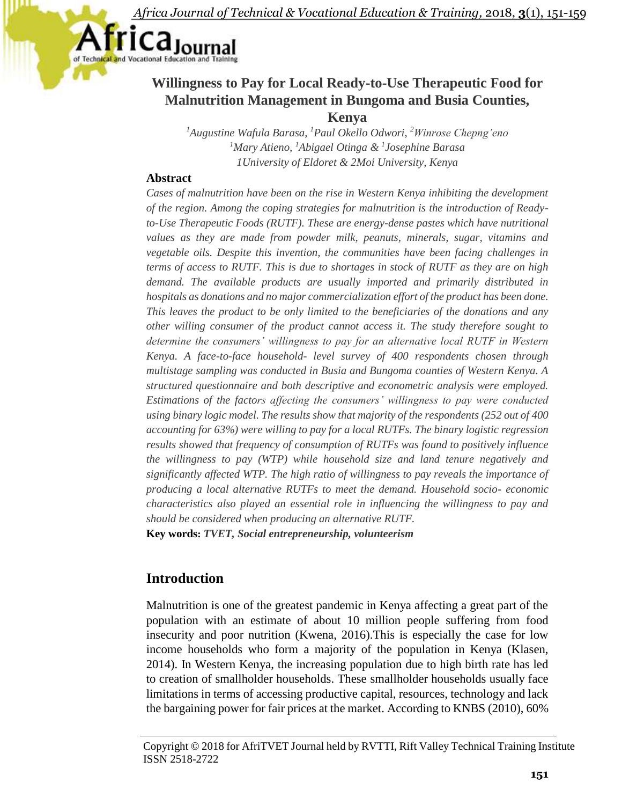rica<sub>Journal</sub>

# **Willingness to Pay for Local Ready-to-Use Therapeutic Food for Malnutrition Management in Bungoma and Busia Counties, Kenya**

*<sup>1</sup>Augustine Wafula Barasa, <sup>1</sup>Paul Okello Odwori, <sup>2</sup>Winrose Chepng'eno <sup>1</sup>Mary Atieno, <sup>1</sup>Abigael Otinga & <sup>1</sup> Josephine Barasa 1University of Eldoret & 2Moi University, Kenya*

## **Abstract**

*Cases of malnutrition have been on the rise in Western Kenya inhibiting the development of the region. Among the coping strategies for malnutrition is the introduction of Readyto-Use Therapeutic Foods (RUTF). These are energy-dense pastes which have nutritional values as they are made from powder milk, peanuts, minerals, sugar, vitamins and vegetable oils. Despite this invention, the communities have been facing challenges in terms of access to RUTF. This is due to shortages in stock of RUTF as they are on high demand. The available products are usually imported and primarily distributed in hospitals as donations and no major commercialization effort of the product has been done. This leaves the product to be only limited to the beneficiaries of the donations and any other willing consumer of the product cannot access it. The study therefore sought to determine the consumers' willingness to pay for an alternative local RUTF in Western Kenya. A face-to-face household- level survey of 400 respondents chosen through multistage sampling was conducted in Busia and Bungoma counties of Western Kenya. A structured questionnaire and both descriptive and econometric analysis were employed. Estimations of the factors affecting the consumers' willingness to pay were conducted using binary logic model. The results show that majority of the respondents (252 out of 400 accounting for 63%) were willing to pay for a local RUTFs. The binary logistic regression results showed that frequency of consumption of RUTFs was found to positively influence the willingness to pay (WTP) while household size and land tenure negatively and significantly affected WTP. The high ratio of willingness to pay reveals the importance of producing a local alternative RUTFs to meet the demand. Household socio- economic characteristics also played an essential role in influencing the willingness to pay and should be considered when producing an alternative RUTF.*

**Key words:** *TVET, Social entrepreneurship, volunteerism*

# **Introduction**

Malnutrition is one of the greatest pandemic in Kenya affecting a great part of the population with an estimate of about 10 million people suffering from food insecurity and poor nutrition (Kwena, 2016).This is especially the case for low income households who form a majority of the population in Kenya (Klasen, 2014). In Western Kenya, the increasing population due to high birth rate has led to creation of smallholder households. These smallholder households usually face limitations in terms of accessing productive capital, resources, technology and lack the bargaining power for fair prices at the market. According to KNBS (2010), 60%

Copyright © 2018 for AfriTVET Journal held by RVTTI, Rift Valley Technical Training Institute ISSN 2518-2722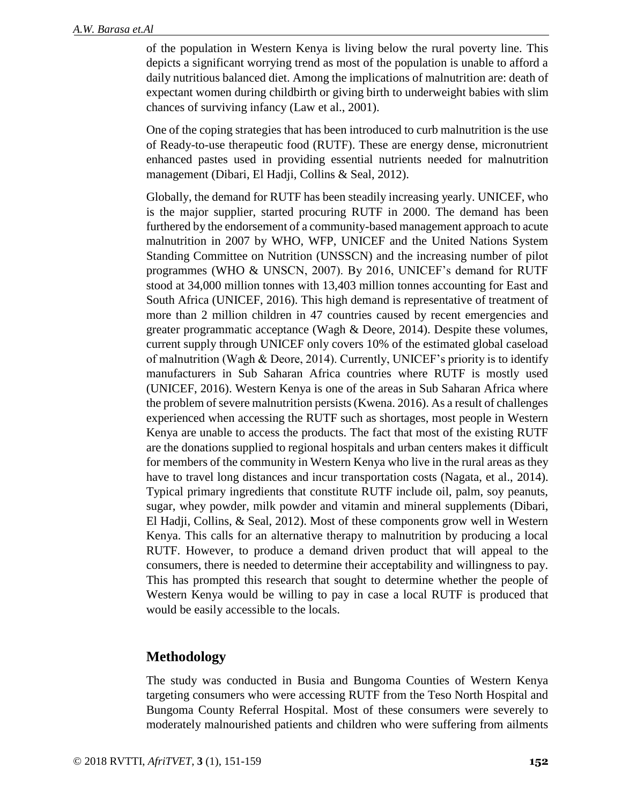of the population in Western Kenya is living below the rural poverty line. This depicts a significant worrying trend as most of the population is unable to afford a daily nutritious balanced diet. Among the implications of malnutrition are: death of expectant women during childbirth or giving birth to underweight babies with slim chances of surviving infancy (Law et al., 2001).

One of the coping strategies that has been introduced to curb malnutrition is the use of Ready-to-use therapeutic food (RUTF). These are energy dense, micronutrient enhanced pastes used in providing essential nutrients needed for malnutrition management (Dibari, El Hadji, Collins & Seal, 2012).

Globally, the demand for RUTF has been steadily increasing yearly. UNICEF, who is the major supplier, started procuring RUTF in 2000. The demand has been furthered by the endorsement of a community-based management approach to acute malnutrition in 2007 by WHO, WFP, UNICEF and the United Nations System Standing Committee on Nutrition (UNSSCN) and the increasing number of pilot programmes (WHO & UNSCN, 2007). By 2016, UNICEF's demand for RUTF stood at 34,000 million tonnes with 13,403 million tonnes accounting for East and South Africa (UNICEF, 2016). This high demand is representative of treatment of more than 2 million children in 47 countries caused by recent emergencies and greater programmatic acceptance (Wagh & Deore, 2014). Despite these volumes, current supply through UNICEF only covers 10% of the estimated global caseload of malnutrition (Wagh & Deore, 2014). Currently, UNICEF's priority is to identify manufacturers in Sub Saharan Africa countries where RUTF is mostly used (UNICEF, 2016). Western Kenya is one of the areas in Sub Saharan Africa where the problem of severe malnutrition persists (Kwena. 2016). As a result of challenges experienced when accessing the RUTF such as shortages, most people in Western Kenya are unable to access the products. The fact that most of the existing RUTF are the donations supplied to regional hospitals and urban centers makes it difficult for members of the community in Western Kenya who live in the rural areas as they have to travel long distances and incur transportation costs (Nagata, et al., 2014). Typical primary ingredients that constitute RUTF include oil, palm, soy peanuts, sugar, whey powder, milk powder and vitamin and mineral supplements (Dibari, El Hadji, Collins, & Seal, 2012). Most of these components grow well in Western Kenya. This calls for an alternative therapy to malnutrition by producing a local RUTF. However, to produce a demand driven product that will appeal to the consumers, there is needed to determine their acceptability and willingness to pay. This has prompted this research that sought to determine whether the people of Western Kenya would be willing to pay in case a local RUTF is produced that would be easily accessible to the locals.

## **Methodology**

The study was conducted in Busia and Bungoma Counties of Western Kenya targeting consumers who were accessing RUTF from the Teso North Hospital and Bungoma County Referral Hospital. Most of these consumers were severely to moderately malnourished patients and children who were suffering from ailments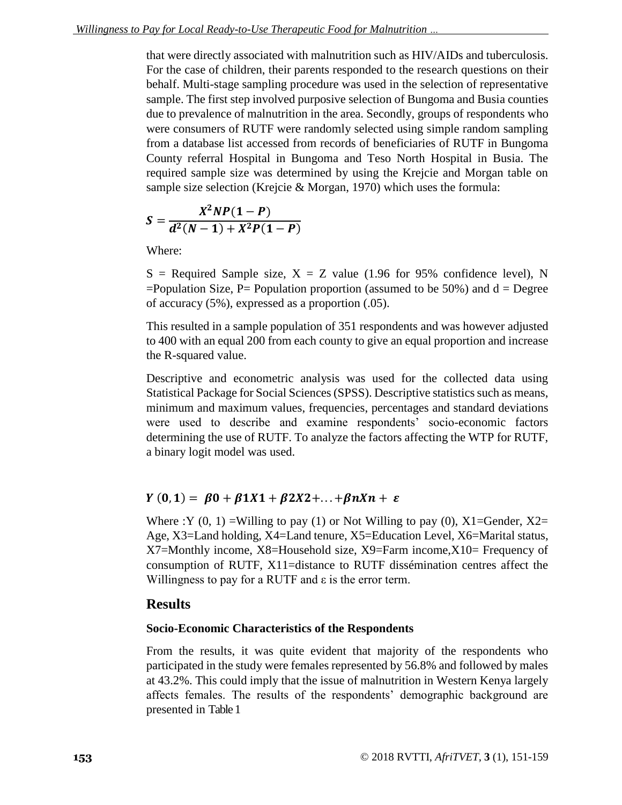that were directly associated with malnutrition such as HIV/AIDs and tuberculosis. For the case of children, their parents responded to the research questions on their behalf. Multi-stage sampling procedure was used in the selection of representative sample. The first step involved purposive selection of Bungoma and Busia counties due to prevalence of malnutrition in the area. Secondly, groups of respondents who were consumers of RUTF were randomly selected using simple random sampling from a database list accessed from records of beneficiaries of RUTF in Bungoma County referral Hospital in Bungoma and Teso North Hospital in Busia. The required sample size was determined by using the Krejcie and Morgan table on sample size selection (Krejcie & Morgan, 1970) which uses the formula:

$$
S = \frac{X^2 NP(1 - P)}{d^2(N - 1) + X^2 P(1 - P)}
$$

Where:

 $S =$  Required Sample size,  $X = Z$  value (1.96 for 95% confidence level), N  $=$ Population Size, P $=$  Population proportion (assumed to be 50%) and  $d =$  Degree of accuracy (5%), expressed as a proportion (.05).

This resulted in a sample population of 351 respondents and was however adjusted to 400 with an equal 200 from each county to give an equal proportion and increase the R-squared value.

Descriptive and econometric analysis was used for the collected data using Statistical Package for Social Sciences (SPSS). Descriptive statistics such as means, minimum and maximum values, frequencies, percentages and standard deviations were used to describe and examine respondents' socio-economic factors determining the use of RUTF. To analyze the factors affecting the WTP for RUTF, a binary logit model was used.

## $Y(0, 1) = \beta 0 + \beta 1 X 1 + \beta 2 X 2 + ... + \beta n X n + \varepsilon$

Where :Y  $(0, 1)$  =Willing to pay  $(1)$  or Not Willing to pay  $(0)$ , X1=Gender, X2= Age, X3=Land holding, X4=Land tenure, X5=Education Level, X6=Marital status, X7=Monthly income, X8=Household size, X9=Farm income,X10= Frequency of consumption of RUTF, X11=distance to RUTF dissémination centres affect the Willingness to pay for a RUTF and  $\varepsilon$  is the error term.

#### **Results**

#### **Socio-Economic Characteristics of the Respondents**

From the results, it was quite evident that majority of the respondents who participated in the study were females represented by 56.8% and followed by males at 43.2%. This could imply that the issue of malnutrition in Western Kenya largely affects females. The results of the respondents' demographic background are presented in Table 1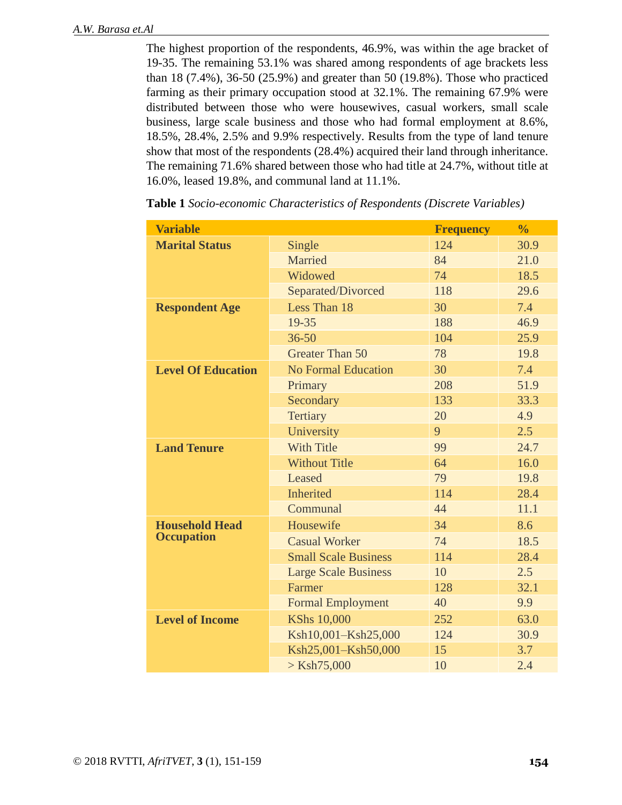The highest proportion of the respondents, 46.9%, was within the age bracket of 19-35. The remaining 53.1% was shared among respondents of age brackets less than 18 (7.4%), 36-50 (25.9%) and greater than 50 (19.8%). Those who practiced farming as their primary occupation stood at 32.1%. The remaining 67.9% were distributed between those who were housewives, casual workers, small scale business, large scale business and those who had formal employment at 8.6%, 18.5%, 28.4%, 2.5% and 9.9% respectively. Results from the type of land tenure show that most of the respondents (28.4%) acquired their land through inheritance. The remaining 71.6% shared between those who had title at 24.7%, without title at 16.0%, leased 19.8%, and communal land at 11.1%.

| <b>Variable</b>           |                             | <b>Frequency</b> | $\frac{0}{0}$ |
|---------------------------|-----------------------------|------------------|---------------|
| <b>Marital Status</b>     | Single                      | 124              | 30.9          |
|                           | Married                     | 84               | 21.0          |
|                           | Widowed                     | 74               | 18.5          |
|                           | Separated/Divorced          | 118              | 29.6          |
| <b>Respondent Age</b>     | Less Than 18                | 30               | 7.4           |
|                           | 19-35                       | 188              | 46.9          |
|                           | $36 - 50$                   | 104              | 25.9          |
|                           | <b>Greater Than 50</b>      | 78               | 19.8          |
| <b>Level Of Education</b> | <b>No Formal Education</b>  | 30               | 7.4           |
|                           | Primary                     | 208              | 51.9          |
|                           | Secondary                   | 133              | 33.3          |
|                           | <b>Tertiary</b>             | 20               | 4.9           |
|                           | University                  | 9                | 2.5           |
| <b>Land Tenure</b>        | <b>With Title</b>           | 99               | 24.7          |
|                           | <b>Without Title</b>        | 64               | 16.0          |
|                           | Leased                      | 79               | 19.8          |
|                           | <b>Inherited</b>            | 114              | 28.4          |
|                           | Communal                    | 44               | 11.1          |
| <b>Household Head</b>     | Housewife                   | 34               | 8.6           |
| <b>Occupation</b>         | <b>Casual Worker</b>        | 74               | 18.5          |
|                           | <b>Small Scale Business</b> | 114              | 28.4          |
|                           | <b>Large Scale Business</b> | 10               | 2.5           |
|                           | Farmer                      | 128              | 32.1          |
|                           | <b>Formal Employment</b>    | 40               | 9.9           |
| <b>Level of Income</b>    | <b>KShs 10,000</b>          | 252              | 63.0          |
|                           | Ksh10,001-Ksh25,000         | 124              | 30.9          |
|                           | Ksh25,001-Ksh50,000         | 15               | 3.7           |
|                           | $>$ Ksh75,000               | 10               | 2.4           |

**Table 1** *Socio-economic Characteristics of Respondents (Discrete Variables)*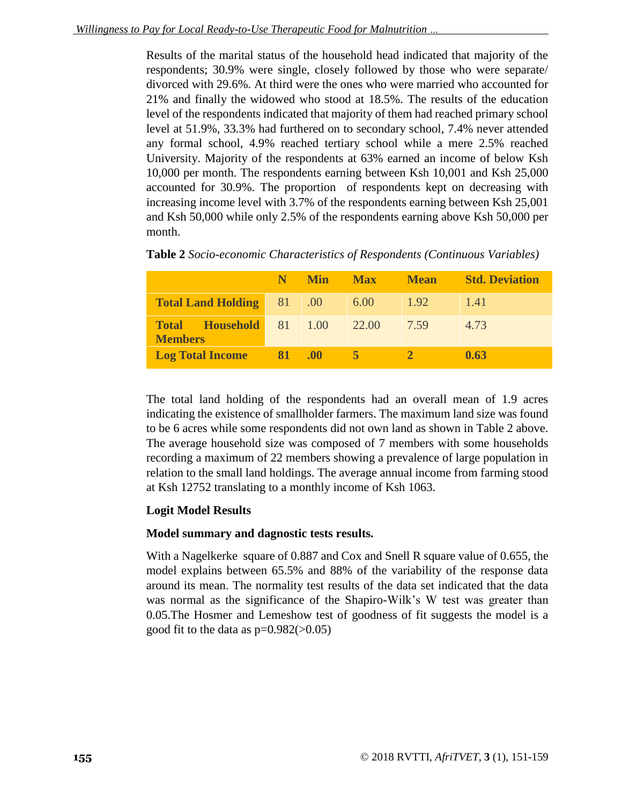Results of the marital status of the household head indicated that majority of the respondents; 30.9% were single, closely followed by those who were separate/ divorced with 29.6%. At third were the ones who were married who accounted for 21% and finally the widowed who stood at 18.5%. The results of the education level of the respondents indicated that majority of them had reached primary school level at 51.9%, 33.3% had furthered on to secondary school, 7.4% never attended any formal school, 4.9% reached tertiary school while a mere 2.5% reached University. Majority of the respondents at 63% earned an income of below Ksh 10,000 per month. The respondents earning between Ksh 10,001 and Ksh 25,000 accounted for 30.9%. The proportion of respondents kept on decreasing with increasing income level with 3.7% of the respondents earning between Ksh 25,001 and Ksh 50,000 while only 2.5% of the respondents earning above Ksh 50,000 per month.

|                                                  |                | N Min | <b>Max</b> | <b>Mean</b> | <b>Std. Deviation</b> |
|--------------------------------------------------|----------------|-------|------------|-------------|-----------------------|
| Total Land Holding 81 00                         |                |       | 6.00       | 1.92        | 1.41                  |
| <b>Total Household</b> 81 1.00<br><b>Members</b> |                |       | 22.00      | 7.59        | 4.73                  |
| <b>Log Total Income</b>                          | $81 \quad .00$ |       | 5          |             | 0.63                  |

**Table 2** *Socio-economic Characteristics of Respondents (Continuous Variables)*

The total land holding of the respondents had an overall mean of 1.9 acres indicating the existence of smallholder farmers. The maximum land size was found to be 6 acres while some respondents did not own land as shown in Table 2 above. The average household size was composed of 7 members with some households recording a maximum of 22 members showing a prevalence of large population in relation to the small land holdings. The average annual income from farming stood at Ksh 12752 translating to a monthly income of Ksh 1063.

## **Logit Model Results**

## **Model summary and dagnostic tests results.**

With a Nagelkerke square of 0.887 and Cox and Snell R square value of 0.655, the model explains between 65.5% and 88% of the variability of the response data around its mean. The normality test results of the data set indicated that the data was normal as the significance of the Shapiro-Wilk's W test was greater than 0.05.The Hosmer and Lemeshow test of goodness of fit suggests the model is a good fit to the data as  $p=0.982(>0.05)$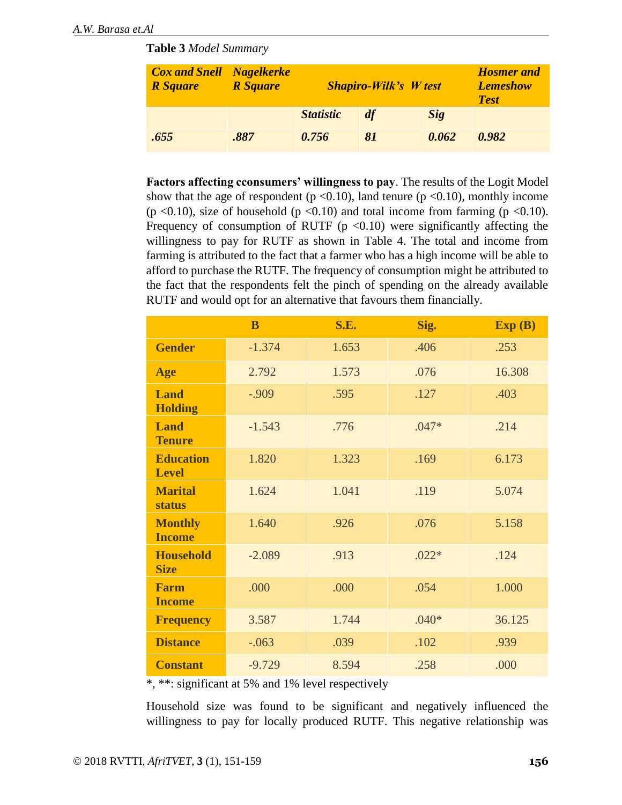**Table 3** *Model Summary*

| <b>Cox and Snell Nagelkerke</b><br><b>R</b> Square | <b>R</b> Square | <b>Shapiro-Wilk's W test</b> |    |            | <b>Hosmer</b> and<br><b>Lemeshow</b><br><b>Test</b> |
|----------------------------------------------------|-----------------|------------------------------|----|------------|-----------------------------------------------------|
|                                                    |                 | <b>Statistic</b>             | df | <b>Sig</b> |                                                     |
| .655                                               | .887            | 0.756                        | 81 | 0.062      | 0.982                                               |

**Factors affecting cconsumers' willingness to pay**. The results of the Logit Model show that the age of respondent ( $p \le 0.10$ ), land tenure ( $p \le 0.10$ ), monthly income (p <0.10), size of household (p <0.10) and total income from farming (p <0.10). Frequency of consumption of RUTF ( $p < 0.10$ ) were significantly affecting the willingness to pay for RUTF as shown in Table 4. The total and income from farming is attributed to the fact that a farmer who has a high income will be able to afford to purchase the RUTF. The frequency of consumption might be attributed to the fact that the respondents felt the pinch of spending on the already available RUTF and would opt for an alternative that favours them financially*.* 

|                                  | B        | <b>S.E.</b> | Sig.    | Exp(B) |
|----------------------------------|----------|-------------|---------|--------|
| <b>Gender</b>                    | $-1.374$ | 1.653       | .406    | .253   |
| Age                              | 2.792    | 1.573       | .076    | 16.308 |
| <b>Land</b><br><b>Holding</b>    | $-0.909$ | .595        | .127    | .403   |
| <b>Land</b><br><b>Tenure</b>     | $-1.543$ | .776        | $.047*$ | .214   |
| <b>Education</b><br><b>Level</b> | 1.820    | 1.323       | .169    | 6.173  |
| <b>Marital</b><br><b>status</b>  | 1.624    | 1.041       | .119    | 5.074  |
| <b>Monthly</b><br><b>Income</b>  | 1.640    | .926        | .076    | 5.158  |
| <b>Household</b><br><b>Size</b>  | $-2.089$ | .913        | $.022*$ | .124   |
| <b>Farm</b><br><b>Income</b>     | .000     | .000        | .054    | 1.000  |
| <b>Frequency</b>                 | 3.587    | 1.744       | $.040*$ | 36.125 |
| <b>Distance</b>                  | $-.063$  | .039        | .102    | .939   |
| <b>Constant</b>                  | $-9.729$ | 8.594       | .258    | .000   |

\*, \*\*: significant at 5% and 1% level respectively

Household size was found to be significant and negatively influenced the willingness to pay for locally produced RUTF. This negative relationship was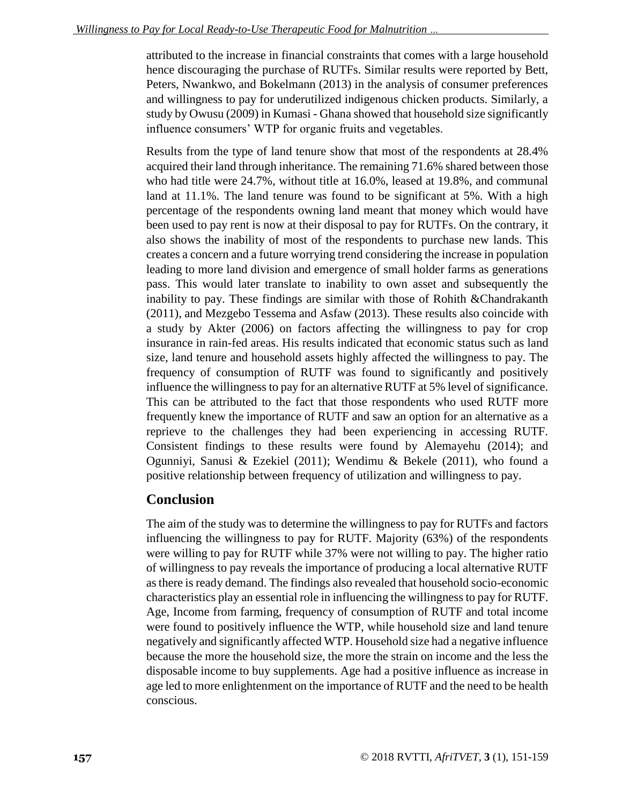attributed to the increase in financial constraints that comes with a large household hence discouraging the purchase of RUTFs. Similar results were reported by Bett, Peters, Nwankwo, and Bokelmann (2013) in the analysis of consumer preferences and willingness to pay for underutilized indigenous chicken products. Similarly, a study by Owusu (2009) in Kumasi - Ghana showed that household size significantly influence consumers' WTP for organic fruits and vegetables.

Results from the type of land tenure show that most of the respondents at 28.4% acquired their land through inheritance. The remaining 71.6% shared between those who had title were 24.7%, without title at 16.0%, leased at 19.8%, and communal land at 11.1%. The land tenure was found to be significant at 5%. With a high percentage of the respondents owning land meant that money which would have been used to pay rent is now at their disposal to pay for RUTFs. On the contrary, it also shows the inability of most of the respondents to purchase new lands. This creates a concern and a future worrying trend considering the increase in population leading to more land division and emergence of small holder farms as generations pass. This would later translate to inability to own asset and subsequently the inability to pay. These findings are similar with those of Rohith & Chandrakanth (2011), and Mezgebo Tessema and Asfaw (2013). These results also coincide with a study by Akter (2006) on factors affecting the willingness to pay for crop insurance in rain-fed areas. His results indicated that economic status such as land size, land tenure and household assets highly affected the willingness to pay. The frequency of consumption of RUTF was found to significantly and positively influence the willingness to pay for an alternative RUTF at 5% level of significance. This can be attributed to the fact that those respondents who used RUTF more frequently knew the importance of RUTF and saw an option for an alternative as a reprieve to the challenges they had been experiencing in accessing RUTF. Consistent findings to these results were found by Alemayehu (2014); and Ogunniyi, Sanusi & Ezekiel (2011); Wendimu & Bekele (2011), who found a positive relationship between frequency of utilization and willingness to pay.

## **Conclusion**

The aim of the study was to determine the willingness to pay for RUTFs and factors influencing the willingness to pay for RUTF. Majority (63%) of the respondents were willing to pay for RUTF while 37% were not willing to pay. The higher ratio of willingness to pay reveals the importance of producing a local alternative RUTF as there is ready demand. The findings also revealed that household socio-economic characteristics play an essential role in influencing the willingness to pay for RUTF. Age, Income from farming, frequency of consumption of RUTF and total income were found to positively influence the WTP, while household size and land tenure negatively and significantly affected WTP. Household size had a negative influence because the more the household size, the more the strain on income and the less the disposable income to buy supplements. Age had a positive influence as increase in age led to more enlightenment on the importance of RUTF and the need to be health conscious.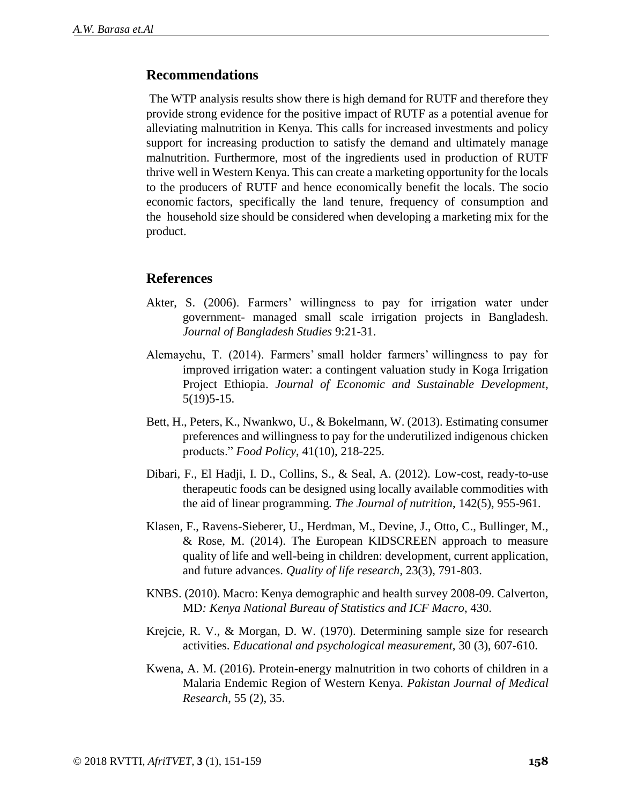#### **Recommendations**

The WTP analysis results show there is high demand for RUTF and therefore they provide strong evidence for the positive impact of RUTF as a potential avenue for alleviating malnutrition in Kenya. This calls for increased investments and policy support for increasing production to satisfy the demand and ultimately manage malnutrition. Furthermore, most of the ingredients used in production of RUTF thrive well in Western Kenya. This can create a marketing opportunity for the locals to the producers of RUTF and hence economically benefit the locals. The socio economic factors, specifically the land tenure, frequency of consumption and the household size should be considered when developing a marketing mix for the product.

#### **References**

- Akter, S. (2006). Farmers' willingness to pay for irrigation water under government- managed small scale irrigation projects in Bangladesh. *Journal of Bangladesh Studies* 9:21-31.
- Alemayehu, T. (2014). Farmers' small holder farmers' willingness to pay for improved irrigation water: a contingent valuation study in Koga Irrigation Project Ethiopia. *Journal of Economic and Sustainable Development*, 5(19)5-15.
- Bett, H., Peters, K., Nwankwo, U., & Bokelmann, W. (2013). Estimating consumer preferences and willingness to pay for the underutilized indigenous chicken products." *Food Policy*, 41(10), 218-225.
- Dibari, F., El Hadji, I. D., Collins, S., & Seal, A. (2012). Low-cost, ready-to-use therapeutic foods can be designed using locally available commodities with the aid of linear programming*. The Journal of nutrition*, 142(5), 955-961.
- Klasen, F., Ravens-Sieberer, U., Herdman, M., Devine, J., Otto, C., Bullinger, M., & Rose, M. (2014). The European KIDSCREEN approach to measure quality of life and well-being in children: development, current application, and future advances. *Quality of life research*, 23(3), 791-803.
- KNBS. (2010). Macro: Kenya demographic and health survey 2008-09. Calverton, MD*: Kenya National Bureau of Statistics and ICF Macro*, 430.
- Krejcie, R. V., & Morgan, D. W. (1970). Determining sample size for research activities. *Educational and psychological measurement*, 30 (3), 607-610.
- Kwena, A. M. (2016). Protein-energy malnutrition in two cohorts of children in a Malaria Endemic Region of Western Kenya. *Pakistan Journal of Medical Research*, 55 (2), 35.